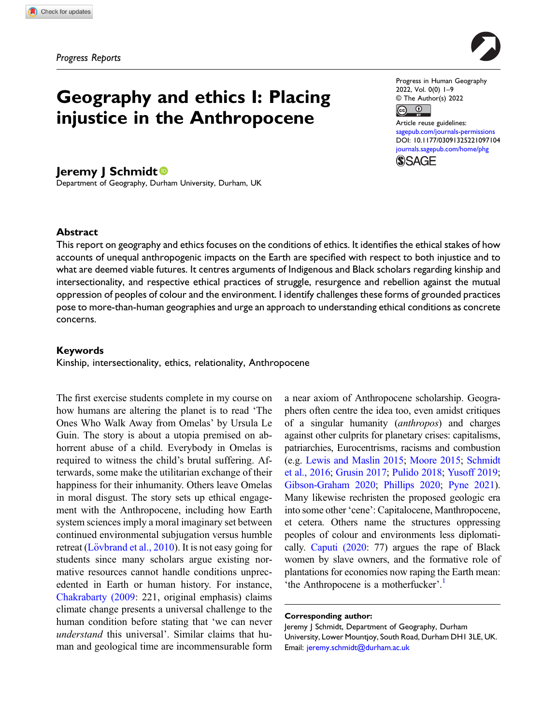Progress Reports

# Geography and ethics I: Placing injustice in the Anthropocene

## Jeremy J Schmidt<sup>®</sup>

Department of Geography, Durham University, Durham, UK

Progress in Human Geography 2022, Vol. 0(0) 1–9 © The Author(s) 2022

 $\boxed{$  (cc)  $\boxed{0}$ 

Article reuse guidelines: [sagepub.com/journals-permissions](https://uk.sagepub.com/en-gb/journals-permissions) DOI: [10.1177/03091325221097104](https://doi.org/10.1177/03091325221097104) [journals.sagepub.com/home/phg](https://journals.sagepub.com/home/phg) **SSAGE** 

## Abstract

This report on geography and ethics focuses on the conditions of ethics. It identifies the ethical stakes of how accounts of unequal anthropogenic impacts on the Earth are specified with respect to both injustice and to what are deemed viable futures. It centres arguments of Indigenous and Black scholars regarding kinship and intersectionality, and respective ethical practices of struggle, resurgence and rebellion against the mutual oppression of peoples of colour and the environment. I identify challenges these forms of grounded practices pose to more-than-human geographies and urge an approach to understanding ethical conditions as concrete concerns.

#### Keywords

Kinship, intersectionality, ethics, relationality, Anthropocene

The first exercise students complete in my course on how humans are altering the planet is to read 'The Ones Who Walk Away from Omelas' by Ursula Le Guin. The story is about a utopia premised on abhorrent abuse of a child. Everybody in Omelas is required to witness the child's brutal suffering. Afterwards, some make the utilitarian exchange of their happiness for their inhumanity. Others leave Omelas in moral disgust. The story sets up ethical engagement with the Anthropocene, including how Earth system sciences imply a moral imaginary set between continued environmental subjugation versus humble retreat (Lövbrand et al.,  $2010$ ). It is not easy going for students since many scholars argue existing normative resources cannot handle conditions unprecedented in Earth or human history. For instance, [Chakrabarty \(2009](#page-6-0): 221, original emphasis) claims climate change presents a universal challenge to the human condition before stating that 'we can never understand this universal'. Similar claims that human and geological time are incommensurable form a near axiom of Anthropocene scholarship. Geographers often centre the idea too, even amidst critiques of a singular humanity (anthropos) and charges against other culprits for planetary crises: capitalisms, patriarchies, Eurocentrisms, racisms and combustion (e.g. [Lewis and Maslin 2015](#page-7-1); [Moore 2015](#page-7-2); [Schmidt](#page-8-0) [et al., 2016;](#page-8-0) [Grusin 2017](#page-6-1); [Pulido 2018](#page-7-3); [Yusoff 2019;](#page-8-1) [Gibson-Graham 2020](#page-6-2); [Phillips 2020;](#page-7-4) [Pyne 2021\)](#page-7-5). Many likewise rechristen the proposed geologic era into some other 'cene': Capitalocene, Manthropocene, et cetera. Others name the structures oppressing peoples of colour and environments less diplomatically. [Caputi \(2020:](#page-6-3) 77) argues the rape of Black women by slave owners, and the formative role of plantations for economies now raping the Earth mean: 'the Anthropocene is a motherfucker'.<sup>[1](#page-5-0)</sup>

#### Corresponding author:

Jeremy J Schmidt, Department of Geography, Durham University, Lower Mountjoy, South Road, Durham DH1 3LE, UK. Email: [jeremy.schmidt@durham.ac.uk](mailto:jeremy.schmidt@durham.ac.uk)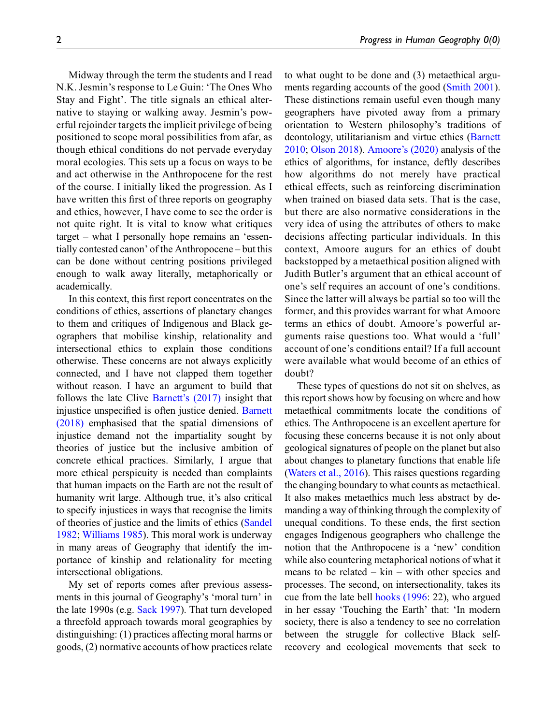Midway through the term the students and I read N.K. Jesmin's response to Le Guin: 'The Ones Who Stay and Fight'. The title signals an ethical alternative to staying or walking away. Jesmin's powerful rejoinder targets the implicit privilege of being positioned to scope moral possibilities from afar, as though ethical conditions do not pervade everyday moral ecologies. This sets up a focus on ways to be and act otherwise in the Anthropocene for the rest of the course. I initially liked the progression. As I have written this first of three reports on geography and ethics, however, I have come to see the order is not quite right. It is vital to know what critiques target – what I personally hope remains an 'essentially contested canon' of the Anthropocene – but this can be done without centring positions privileged enough to walk away literally, metaphorically or academically.

In this context, this first report concentrates on the conditions of ethics, assertions of planetary changes to them and critiques of Indigenous and Black geographers that mobilise kinship, relationality and intersectional ethics to explain those conditions otherwise. These concerns are not always explicitly connected, and I have not clapped them together without reason. I have an argument to build that follows the late Clive Barnett'[s \(2017\)](#page-5-1) insight that injustice unspecified is often justice denied. [Barnett](#page-6-4) [\(2018\)](#page-6-4) emphasised that the spatial dimensions of injustice demand not the impartiality sought by theories of justice but the inclusive ambition of concrete ethical practices. Similarly, I argue that more ethical perspicuity is needed than complaints that human impacts on the Earth are not the result of humanity writ large. Although true, it's also critical to specify injustices in ways that recognise the limits of theories of justice and the limits of ethics ([Sandel](#page-7-6) [1982](#page-7-6); [Williams 1985](#page-8-2)). This moral work is underway in many areas of Geography that identify the importance of kinship and relationality for meeting intersectional obligations.

My set of reports comes after previous assessments in this journal of Geography's 'moral turn' in the late 1990s (e.g. [Sack 1997\)](#page-7-7). That turn developed a threefold approach towards moral geographies by distinguishing: (1) practices affecting moral harms or goods, (2) normative accounts of how practices relate to what ought to be done and (3) metaethical arguments regarding accounts of the good ([Smith 2001\)](#page-8-3). These distinctions remain useful even though many geographers have pivoted away from a primary orientation to Western philosophy's traditions of deontology, utilitarianism and virtue ethics ([Barnett](#page-5-2) [2010;](#page-5-2) [Olson 2018](#page-7-8)). Amoore'[s \(2020\)](#page-5-3) analysis of the ethics of algorithms, for instance, deftly describes how algorithms do not merely have practical ethical effects, such as reinforcing discrimination when trained on biased data sets. That is the case, but there are also normative considerations in the very idea of using the attributes of others to make decisions affecting particular individuals. In this context, Amoore augurs for an ethics of doubt backstopped by a metaethical position aligned with Judith Butler's argument that an ethical account of one's self requires an account of one's conditions. Since the latter will always be partial so too will the former, and this provides warrant for what Amoore terms an ethics of doubt. Amoore's powerful arguments raise questions too. What would a 'full' account of one's conditions entail? If a full account were available what would become of an ethics of doubt?

These types of questions do not sit on shelves, as this report shows how by focusing on where and how metaethical commitments locate the conditions of ethics. The Anthropocene is an excellent aperture for focusing these concerns because it is not only about geological signatures of people on the planet but also about changes to planetary functions that enable life [\(Waters et al., 2016\)](#page-8-4). This raises questions regarding the changing boundary to what counts as metaethical. It also makes metaethics much less abstract by demanding a way of thinking through the complexity of unequal conditions. To these ends, the first section engages Indigenous geographers who challenge the notion that the Anthropocene is a 'new' condition while also countering metaphorical notions of what it means to be related  $-$  kin  $-$  with other species and processes. The second, on intersectionality, takes its cue from the late bell [hooks \(1996](#page-6-5): 22), who argued in her essay 'Touching the Earth' that: 'In modern society, there is also a tendency to see no correlation between the struggle for collective Black selfrecovery and ecological movements that seek to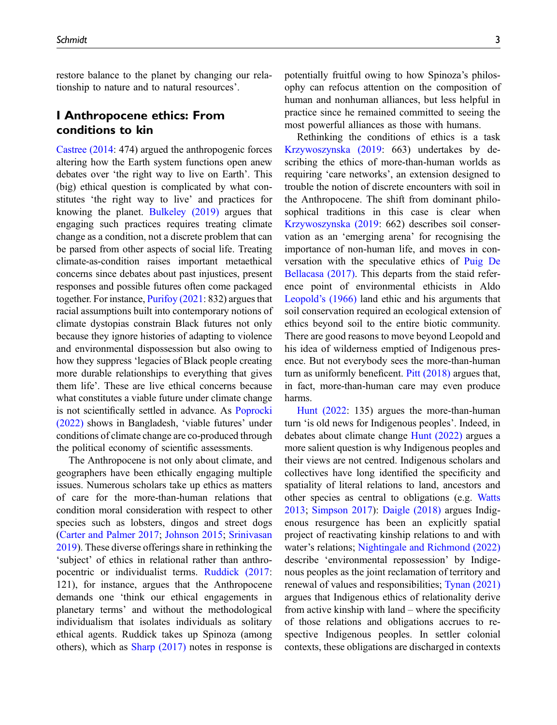restore balance to the planet by changing our relationship to nature and to natural resources'.

## I Anthropocene ethics: From conditions to kin

[Castree \(2014](#page-6-6): 474) argued the anthropogenic forces altering how the Earth system functions open anew debates over 'the right way to live on Earth'. This (big) ethical question is complicated by what constitutes 'the right way to live' and practices for knowing the planet. [Bulkeley \(2019\)](#page-6-7) argues that engaging such practices requires treating climate change as a condition, not a discrete problem that can be parsed from other aspects of social life. Treating climate-as-condition raises important metaethical concerns since debates about past injustices, present responses and possible futures often come packaged together. For instance, [Purifoy \(2021:](#page-7-9) 832) argues that racial assumptions built into contemporary notions of climate dystopias constrain Black futures not only because they ignore histories of adapting to violence and environmental dispossession but also owing to how they suppress 'legacies of Black people creating more durable relationships to everything that gives them life'. These are live ethical concerns because what constitutes a viable future under climate change is not scientifically settled in advance. As [Poprocki](#page-7-10) [\(2022\)](#page-7-10) shows in Bangladesh, 'viable futures' under conditions of climate change are co-produced through the political economy of scientific assessments.

The Anthropocene is not only about climate, and geographers have been ethically engaging multiple issues. Numerous scholars take up ethics as matters of care for the more-than-human relations that condition moral consideration with respect to other species such as lobsters, dingos and street dogs [\(Carter and Palmer 2017](#page-6-8); [Johnson 2015](#page-7-11); [Srinivasan](#page-8-5) [2019](#page-8-5)). These diverse offerings share in rethinking the 'subject' of ethics in relational rather than anthropocentric or individualist terms. [Ruddick \(2017](#page-7-12): 121), for instance, argues that the Anthropocene demands one 'think our ethical engagements in planetary terms' and without the methodological individualism that isolates individuals as solitary ethical agents. Ruddick takes up Spinoza (among others), which as  $Sharp(2017)$  notes in response is potentially fruitful owing to how Spinoza's philosophy can refocus attention on the composition of human and nonhuman alliances, but less helpful in practice since he remained committed to seeing the most powerful alliances as those with humans.

Rethinking the conditions of ethics is a task [Krzywoszynska \(2019](#page-7-13): 663) undertakes by describing the ethics of more-than-human worlds as requiring 'care networks', an extension designed to trouble the notion of discrete encounters with soil in the Anthropocene. The shift from dominant philosophical traditions in this case is clear when [Krzywoszynska \(2019](#page-7-13): 662) describes soil conservation as an 'emerging arena' for recognising the importance of non-human life, and moves in conversation with the speculative ethics of [Puig De](#page-7-14) [Bellacasa \(2017\)](#page-7-14). This departs from the staid reference point of environmental ethicists in Aldo Leopold'[s \(1966\)](#page-7-15) land ethic and his arguments that soil conservation required an ecological extension of ethics beyond soil to the entire biotic community. There are good reasons to move beyond Leopold and his idea of wilderness emptied of Indigenous presence. But not everybody sees the more-than-human turn as uniformly beneficent. [Pitt \(2018\)](#page-7-16) argues that, in fact, more-than-human care may even produce harms.

[Hunt \(2022:](#page-6-9) 135) argues the more-than-human turn 'is old news for Indigenous peoples'. Indeed, in debates about climate change [Hunt \(2022\)](#page-6-9) argues a more salient question is why Indigenous peoples and their views are not centred. Indigenous scholars and collectives have long identified the specificity and spatiality of literal relations to land, ancestors and other species as central to obligations (e.g. [Watts](#page-8-7) [2013;](#page-8-7) [Simpson 2017\)](#page-8-8): [Daigle \(2018\)](#page-6-10) argues Indigenous resurgence has been an explicitly spatial project of reactivating kinship relations to and with water's relations; [Nightingale and Richmond \(2022\)](#page-7-17) describe 'environmental repossession' by Indigenous peoples as the joint reclamation of territory and renewal of values and responsibilities; [Tynan \(2021\)](#page-8-9) argues that Indigenous ethics of relationality derive from active kinship with land – where the specificity of those relations and obligations accrues to respective Indigenous peoples. In settler colonial contexts, these obligations are discharged in contexts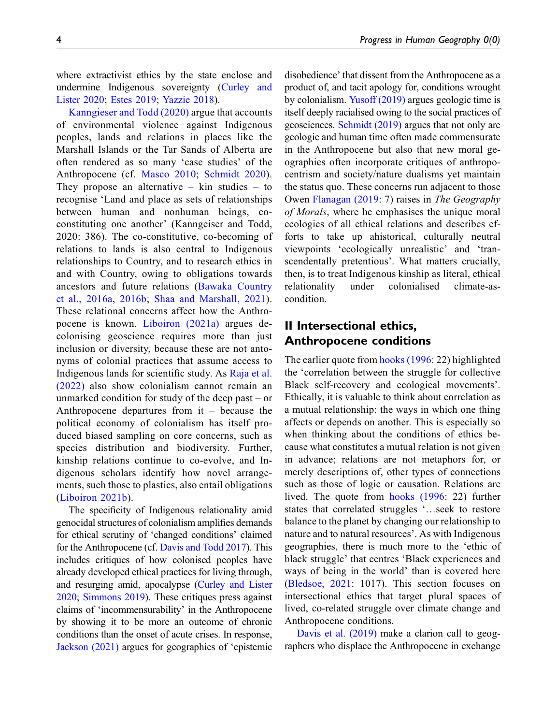where extractivist ethics by the state enclose and undermine Indigenous sovereignty ([Curley and](#page-6-11) [Lister 2020](#page-6-11); [Estes 2019](#page-6-12); [Yazzie 2018](#page-8-10)).

[Kanngieser and Todd \(2020\)](#page-7-18) argue that accounts of environmental violence against Indigenous peoples, lands and relations in places like the Marshall Islands or the Tar Sands of Alberta are often rendered as so many 'case studies' of the Anthropocene (cf. [Masco 2010;](#page-7-19) [Schmidt 2020](#page-8-11)). They propose an alternative – kin studies – to recognise 'Land and place as sets of relationships between human and nonhuman beings, coconstituting one another' (Kanngeiser and Todd, 2020: 386). The co-constitutive, co-becoming of relations to lands is also central to Indigenous relationships to Country, and to research ethics in and with Country, owing to obligations towards ancestors and future relations [\(Bawaka Country](#page-6-13) [et al., 2016a](#page-6-13), [2016b](#page-6-14); [Shaa and Marshall, 2021](#page-8-12)). These relational concerns affect how the Anthropocene is known. [Liboiron \(2021a\)](#page-7-20) argues decolonising geoscience requires more than just inclusion or diversity, because these are not antonyms of colonial practices that assume access to Indigenous lands for scientific study. As [Raja et al.](#page-7-21) [\(2022\)](#page-7-21) also show colonialism cannot remain an unmarked condition for study of the deep past – or Anthropocene departures from it – because the political economy of colonialism has itself produced biased sampling on core concerns, such as species distribution and biodiversity. Further, kinship relations continue to co-evolve, and Indigenous scholars identify how novel arrangements, such those to plastics, also entail obligations ([Liboiron 2021b\)](#page-7-22).

The specificity of Indigenous relationality amid genocidal structures of colonialism amplifies demands for ethical scrutiny of 'changed conditions' claimed for the Anthropocene (cf. [Davis and Todd 2017\)](#page-6-15). This includes critiques of how colonised peoples have already developed ethical practices for living through, and resurging amid, apocalypse [\(Curley and Lister](#page-6-11) [2020;](#page-6-11) [Simmons 2019](#page-8-13)). These critiques press against claims of 'incommensurability' in the Anthropocene by showing it to be more an outcome of chronic conditions than the onset of acute crises. In response, [Jackson \(2021\)](#page-6-16) argues for geographies of 'epistemic disobedience' that dissent from the Anthropocene as a product of, and tacit apology for, conditions wrought by colonialism. [Yusoff \(2019\)](#page-8-1) argues geologic time is itself deeply racialised owing to the social practices of geosciences. [Schmidt \(2019\)](#page-8-14) argues that not only are geologic and human time often made commensurate in the Anthropocene but also that new moral geographies often incorporate critiques of anthropocentrism and society/nature dualisms yet maintain the status quo. These concerns run adjacent to those Owen [Flanagan \(2019](#page-6-17): 7) raises in The Geography of Morals, where he emphasises the unique moral ecologies of all ethical relations and describes efforts to take up ahistorical, culturally neutral viewpoints 'ecologically unrealistic' and 'transcendentally pretentious'. What matters crucially, then, is to treat Indigenous kinship as literal, ethical relationality under colonialised climate-ascondition.

## II Intersectional ethics, Anthropocene conditions

The earlier quote from [hooks \(1996](#page-6-5): 22) highlighted the 'correlation between the struggle for collective Black self-recovery and ecological movements'. Ethically, it is valuable to think about correlation as a mutual relationship: the ways in which one thing affects or depends on another. This is especially so when thinking about the conditions of ethics because what constitutes a mutual relation is not given in advance; relations are not metaphors for, or merely descriptions of, other types of connections such as those of logic or causation. Relations are lived. The quote from [hooks \(1996:](#page-6-5) 22) further states that correlated struggles '…seek to restore balance to the planet by changing our relationship to nature and to natural resources'. As with Indigenous geographies, there is much more to the 'ethic of black struggle' that centres 'Black experiences and ways of being in the world' than is covered here [\(Bledsoe, 2021](#page-6-18): 1017). This section focuses on intersectional ethics that target plural spaces of lived, co-related struggle over climate change and Anthropocene conditions.

[Davis et al. \(2019\)](#page-6-19) make a clarion call to geographers who displace the Anthropocene in exchange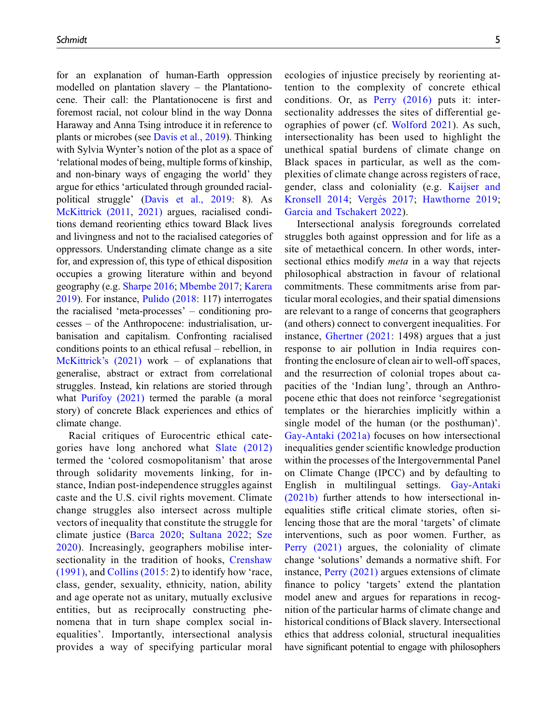for an explanation of human-Earth oppression modelled on plantation slavery – the Plantationocene. Their call: the Plantationocene is first and foremost racial, not colour blind in the way Donna Haraway and Anna Tsing introduce it in reference to plants or microbes (see [Davis et al., 2019](#page-6-19)). Thinking with Sylvia Wynter's notion of the plot as a space of 'relational modes of being, multiple forms of kinship, and non-binary ways of engaging the world' they argue for ethics 'articulated through grounded racialpolitical struggle' [\(Davis et al., 2019](#page-6-19): 8). As [McKittrick \(2011,](#page-7-23) [2021\)](#page-7-24) argues, racialised conditions demand reorienting ethics toward Black lives and livingness and not to the racialised categories of oppressors. Understanding climate change as a site for, and expression of, this type of ethical disposition occupies a growing literature within and beyond geography (e.g. [Sharpe 2016;](#page-8-15) [Mbembe 2017](#page-7-25); [Karera](#page-7-26) [2019](#page-7-26)). For instance, [Pulido \(2018](#page-7-3): 117) interrogates the racialised 'meta-processes' – conditioning processes – of the Anthropocene: industrialisation, urbanisation and capitalism. Confronting racialised conditions points to an ethical refusal – rebellion, in [McKittrick](#page-7-24)'s (2021) work – of explanations that generalise, abstract or extract from correlational struggles. Instead, kin relations are storied through what [Purifoy \(2021\)](#page-7-9) termed the parable (a moral story) of concrete Black experiences and ethics of climate change.

Racial critiques of Eurocentric ethical categories have long anchored what [Slate \(2012\)](#page-8-16) termed the 'colored cosmopolitanism' that arose through solidarity movements linking, for instance, Indian post-independence struggles against caste and the U.S. civil rights movement. Climate change struggles also intersect across multiple vectors of inequality that constitute the struggle for climate justice ([Barca 2020;](#page-5-4) [Sultana 2022](#page-8-17); [Sze](#page-8-18) [2020\)](#page-8-18). Increasingly, geographers mobilise intersectionality in the tradition of hooks, [Crenshaw](#page-6-20) [\(1991\),](#page-6-20) and [Collins \(2015](#page-6-21): 2) to identify how 'race, class, gender, sexuality, ethnicity, nation, ability and age operate not as unitary, mutually exclusive entities, but as reciprocally constructing phenomena that in turn shape complex social inequalities'. Importantly, intersectional analysis provides a way of specifying particular moral ecologies of injustice precisely by reorienting attention to the complexity of concrete ethical conditions. Or, as [Perry \(2016\)](#page-7-27) puts it: intersectionality addresses the sites of differential geographies of power (cf. [Wolford 2021](#page-8-19)). As such, intersectionality has been used to highlight the unethical spatial burdens of climate change on Black spaces in particular, as well as the complexities of climate change across registers of race, gender, class and coloniality (e.g. [Kaijser and](#page-7-28) [Kronsell 2014;](#page-7-28) Vergés 2017; [Hawthorne 2019;](#page-6-22) [Garcia and Tschakert 2022\)](#page-6-23).

Intersectional analysis foregrounds correlated struggles both against oppression and for life as a site of metaethical concern. In other words, intersectional ethics modify *meta* in a way that rejects philosophical abstraction in favour of relational commitments. These commitments arise from particular moral ecologies, and their spatial dimensions are relevant to a range of concerns that geographers (and others) connect to convergent inequalities. For instance, [Ghertner \(2021](#page-6-24): 1498) argues that a just response to air pollution in India requires confronting the enclosure of clean air to well-off spaces, and the resurrection of colonial tropes about capacities of the 'Indian lung', through an Anthropocene ethic that does not reinforce 'segregationist templates or the hierarchies implicitly within a single model of the human (or the posthuman)'. [Gay-Antaki \(2021a\)](#page-6-25) focuses on how intersectional inequalities gender scientific knowledge production within the processes of the Intergovernmental Panel on Climate Change (IPCC) and by defaulting to English in multilingual settings. [Gay-Antaki](#page-6-26) [\(2021b\)](#page-6-26) further attends to how intersectional inequalities stifle critical climate stories, often silencing those that are the moral 'targets' of climate interventions, such as poor women. Further, as [Perry \(2021\)](#page-7-29) argues, the coloniality of climate change 'solutions' demands a normative shift. For instance, [Perry \(2021\)](#page-7-29) argues extensions of climate finance to policy 'targets' extend the plantation model anew and argues for reparations in recognition of the particular harms of climate change and historical conditions of Black slavery. Intersectional ethics that address colonial, structural inequalities have significant potential to engage with philosophers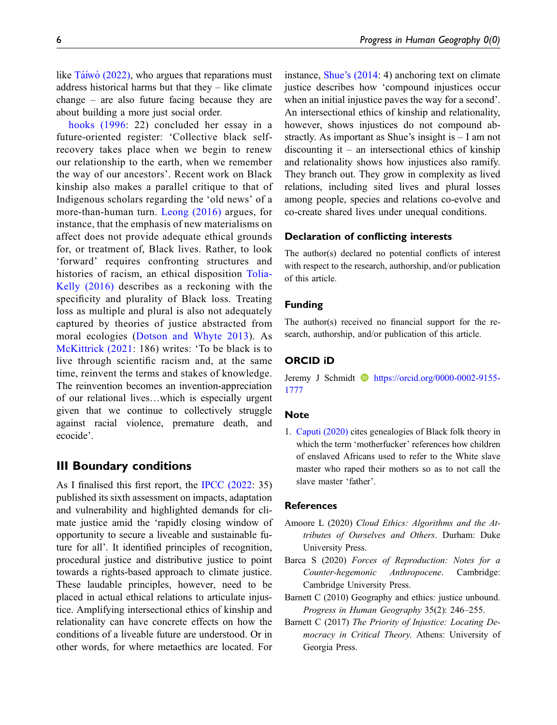like  $\overline{\text{Ta}^{\text{f}}}$  $\overline{\text{Ta}^{\text{f}}}$  $\overline{\text{Ta}^{\text{f}}}$  (2022), who argues that reparations must address historical harms but that they – like climate change – are also future facing because they are about building a more just social order.

[hooks \(1996:](#page-6-5) 22) concluded her essay in a future-oriented register: 'Collective black selfrecovery takes place when we begin to renew our relationship to the earth, when we remember the way of our ancestors'. Recent work on Black kinship also makes a parallel critique to that of Indigenous scholars regarding the 'old news' of a more-than-human turn. [Leong \(2016\)](#page-7-30) argues, for instance, that the emphasis of new materialisms on affect does not provide adequate ethical grounds for, or treatment of, Black lives. Rather, to look 'forward' requires confronting structures and histories of racism, an ethical disposition [Tolia-](#page-8-22)[Kelly \(2016\)](#page-8-22) describes as a reckoning with the specificity and plurality of Black loss. Treating loss as multiple and plural is also not adequately captured by theories of justice abstracted from moral ecologies ([Dotson and Whyte 2013\)](#page-6-27). As [McKittrick \(2021:](#page-7-24) 186) writes: 'To be black is to live through scientific racism and, at the same time, reinvent the terms and stakes of knowledge. The reinvention becomes an invention-appreciation of our relational lives…which is especially urgent given that we continue to collectively struggle against racial violence, premature death, and ecocide'.

## III Boundary conditions

As I finalised this first report, the [IPCC \(2022:](#page-6-28) 35) published its sixth assessment on impacts, adaptation and vulnerability and highlighted demands for climate justice amid the 'rapidly closing window of opportunity to secure a liveable and sustainable future for all'. It identified principles of recognition, procedural justice and distributive justice to point towards a rights-based approach to climate justice. These laudable principles, however, need to be placed in actual ethical relations to articulate injustice. Amplifying intersectional ethics of kinship and relationality can have concrete effects on how the conditions of a liveable future are understood. Or in other words, for where metaethics are located. For instance, Shue'[s \(2014:](#page-8-23) 4) anchoring text on climate justice describes how 'compound injustices occur when an initial injustice paves the way for a second'. An intersectional ethics of kinship and relationality, however, shows injustices do not compound abstractly. As important as Shue's insight is – I am not discounting it – an intersectional ethics of kinship and relationality shows how injustices also ramify. They branch out. They grow in complexity as lived relations, including sited lives and plural losses among people, species and relations co-evolve and co-create shared lives under unequal conditions.

### Declaration of conflicting interests

The author(s) declared no potential conflicts of interest with respect to the research, authorship, and/or publication of this article.

## Funding

The author(s) received no financial support for the research, authorship, and/or publication of this article.

#### ORCID iD

Jeremy J Schmidt **b** [https://orcid.org/0000-0002-9155-](https://orcid.org/0000-0002-9155-1777) [1777](https://orcid.org/0000-0002-9155-1777)

## **Note**

<span id="page-5-0"></span>1. [Caputi \(2020\)](#page-6-3) cites genealogies of Black folk theory in which the term 'motherfucker' references how children of enslaved Africans used to refer to the White slave master who raped their mothers so as to not call the slave master 'father'.

#### **References**

- <span id="page-5-3"></span>Amoore L (2020) Cloud Ethics: Algorithms and the Attributes of Ourselves and Others. Durham: Duke University Press.
- <span id="page-5-4"></span>Barca S (2020) Forces of Reproduction: Notes for a Counter-hegemonic Anthropocene. Cambridge: Cambridge University Press.
- <span id="page-5-2"></span>Barnett C (2010) Geography and ethics: justice unbound. Progress in Human Geography 35(2): 246–255.
- <span id="page-5-1"></span>Barnett C (2017) The Priority of Injustice: Locating Democracy in Critical Theory. Athens: University of Georgia Press.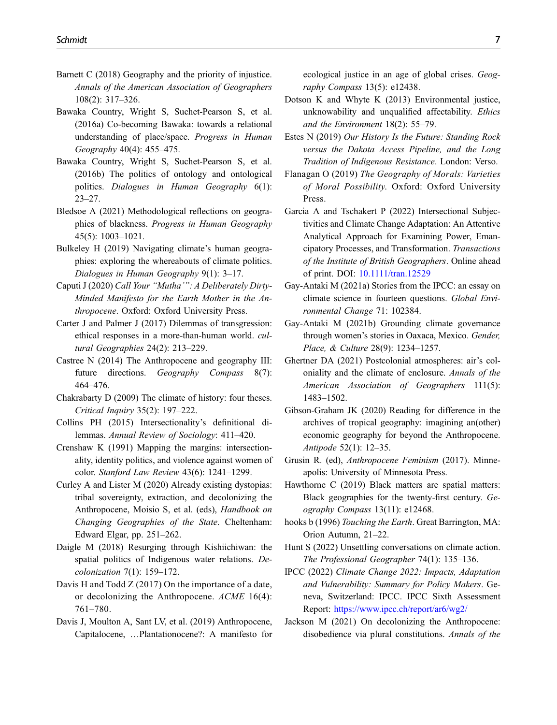- <span id="page-6-4"></span>Barnett C (2018) Geography and the priority of injustice. Annals of the American Association of Geographers 108(2): 317–326.
- <span id="page-6-13"></span>Bawaka Country, Wright S, Suchet-Pearson S, et al. (2016a) Co-becoming Bawaka: towards a relational understanding of place/space. Progress in Human Geography 40(4): 455–475.
- <span id="page-6-14"></span>Bawaka Country, Wright S, Suchet-Pearson S, et al. (2016b) The politics of ontology and ontological politics. Dialogues in Human Geography 6(1): 23–27.
- <span id="page-6-18"></span>Bledsoe A (2021) Methodological reflections on geographies of blackness. Progress in Human Geography 45(5): 1003–1021.
- <span id="page-6-7"></span>Bulkeley H (2019) Navigating climate's human geographies: exploring the whereabouts of climate politics. Dialogues in Human Geography 9(1): 3–17.
- <span id="page-6-3"></span>Caputi J (2020) Call Your "Mutha'": A Deliberately Dirty-Minded Manifesto for the Earth Mother in the Anthropocene. Oxford: Oxford University Press.
- <span id="page-6-8"></span>Carter J and Palmer J (2017) Dilemmas of transgression: ethical responses in a more-than-human world. cultural Geographies 24(2): 213–229.
- <span id="page-6-6"></span>Castree N (2014) The Anthropocene and geography III: future directions. Geography Compass 8(7): 464–476.
- <span id="page-6-0"></span>Chakrabarty D (2009) The climate of history: four theses. Critical Inquiry 35(2): 197–222.
- <span id="page-6-21"></span>Collins PH (2015) Intersectionality's definitional dilemmas. Annual Review of Sociology: 411–420.
- <span id="page-6-20"></span>Crenshaw K (1991) Mapping the margins: intersectionality, identity politics, and violence against women of color. Stanford Law Review 43(6): 1241–1299.
- <span id="page-6-11"></span>Curley A and Lister M (2020) Already existing dystopias: tribal sovereignty, extraction, and decolonizing the Anthropocene, Moisio S, et al. (eds), Handbook on Changing Geographies of the State. Cheltenham: Edward Elgar, pp. 251–262.
- <span id="page-6-10"></span>Daigle M (2018) Resurging through Kishiichiwan: the spatial politics of Indigenous water relations. Decolonization 7(1): 159–172.
- <span id="page-6-15"></span>Davis H and Todd Z (2017) On the importance of a date, or decolonizing the Anthropocene. ACME 16(4): 761–780.
- <span id="page-6-19"></span>Davis J, Moulton A, Sant LV, et al. (2019) Anthropocene, Capitalocene, …Plantationocene?: A manifesto for

ecological justice in an age of global crises. Geography Compass 13(5): e12438.

- <span id="page-6-27"></span>Dotson K and Whyte K (2013) Environmental justice, unknowability and unqualified affectability. Ethics and the Environment 18(2): 55–79.
- <span id="page-6-12"></span>Estes N (2019) Our History Is the Future: Standing Rock versus the Dakota Access Pipeline, and the Long Tradition of Indigenous Resistance. London: Verso.
- <span id="page-6-17"></span>Flanagan O (2019) The Geography of Morals: Varieties of Moral Possibility. Oxford: Oxford University Press.
- <span id="page-6-23"></span>Garcia A and Tschakert P (2022) Intersectional Subjectivities and Climate Change Adaptation: An Attentive Analytical Approach for Examining Power, Emancipatory Processes, and Transformation. Transactions of the Institute of British Geographers. Online ahead of print. DOI: [10.1111/tran.12529](https://doi.org/10.1111/tran.12529)
- <span id="page-6-25"></span>Gay-Antaki M (2021a) Stories from the IPCC: an essay on climate science in fourteen questions. Global Environmental Change 71: 102384.
- <span id="page-6-26"></span>Gay-Antaki M (2021b) Grounding climate governance through women's stories in Oaxaca, Mexico. Gender, Place, & Culture 28(9): 1234–1257.
- <span id="page-6-24"></span>Ghertner DA (2021) Postcolonial atmospheres: air's coloniality and the climate of enclosure. Annals of the American Association of Geographers 111(5): 1483–1502.
- <span id="page-6-2"></span>Gibson-Graham JK (2020) Reading for difference in the archives of tropical geography: imagining an(other) economic geography for beyond the Anthropocene. Antipode 52(1): 12–35.
- <span id="page-6-1"></span>Grusin R. (ed), Anthropocene Feminism (2017). Minneapolis: University of Minnesota Press.
- <span id="page-6-22"></span>Hawthorne C (2019) Black matters are spatial matters: Black geographies for the twenty-first century. Geography Compass 13(11): e12468.
- <span id="page-6-5"></span>hooks b (1996) Touching the Earth. Great Barrington, MA: Orion Autumn, 21–22.
- <span id="page-6-9"></span>Hunt S (2022) Unsettling conversations on climate action. The Professional Geographer 74(1): 135–136.
- <span id="page-6-28"></span>IPCC (2022) Climate Change 2022: Impacts, Adaptation and Vulnerability: Summary for Policy Makers. Geneva, Switzerland: IPCC. IPCC Sixth Assessment Report: <https://www.ipcc.ch/report/ar6/wg2/>
- <span id="page-6-16"></span>Jackson M (2021) On decolonizing the Anthropocene: disobedience via plural constitutions. Annals of the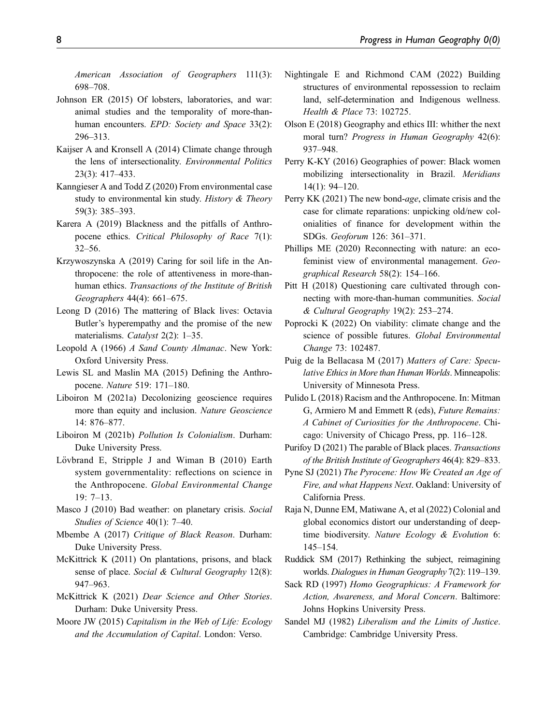American Association of Geographers 111(3): 698–708.

- <span id="page-7-11"></span>Johnson ER (2015) Of lobsters, laboratories, and war: animal studies and the temporality of more-thanhuman encounters. EPD: Society and Space 33(2): 296–313.
- <span id="page-7-28"></span>Kaijser A and Kronsell A (2014) Climate change through the lens of intersectionality. Environmental Politics 23(3): 417–433.
- <span id="page-7-18"></span>Kanngieser A and Todd Z (2020) From environmental case study to environmental kin study. History & Theory 59(3): 385–393.
- <span id="page-7-26"></span>Karera A (2019) Blackness and the pitfalls of Anthropocene ethics. Critical Philosophy of Race 7(1): 32–56.
- <span id="page-7-13"></span>Krzywoszynska A (2019) Caring for soil life in the Anthropocene: the role of attentiveness in more-thanhuman ethics. Transactions of the Institute of British Geographers 44(4): 661–675.
- <span id="page-7-30"></span>Leong D (2016) The mattering of Black lives: Octavia Butler's hyperempathy and the promise of the new materialisms. *Catalyst* 2(2): 1–35.
- <span id="page-7-15"></span>Leopold A (1966) A Sand County Almanac. New York: Oxford University Press.
- <span id="page-7-1"></span>Lewis SL and Maslin MA (2015) Defining the Anthropocene. Nature 519: 171–180.
- <span id="page-7-20"></span>Liboiron M (2021a) Decolonizing geoscience requires more than equity and inclusion. Nature Geoscience 14: 876–877.
- <span id="page-7-22"></span>Liboiron M (2021b) Pollution Is Colonialism. Durham: Duke University Press.
- <span id="page-7-0"></span>Lövbrand E, Stripple J and Wiman B  $(2010)$  Earth system governmentality: reflections on science in the Anthropocene. Global Environmental Change 19: 7–13.
- <span id="page-7-19"></span>Masco J (2010) Bad weather: on planetary crisis. Social Studies of Science 40(1): 7–40.
- <span id="page-7-25"></span>Mbembe A (2017) Critique of Black Reason. Durham: Duke University Press.
- <span id="page-7-23"></span>McKittrick K (2011) On plantations, prisons, and black sense of place. Social & Cultural Geography 12(8): 947–963.
- <span id="page-7-24"></span>McKittrick K (2021) Dear Science and Other Stories. Durham: Duke University Press.
- <span id="page-7-2"></span>Moore JW (2015) Capitalism in the Web of Life: Ecology and the Accumulation of Capital. London: Verso.
- <span id="page-7-17"></span>Nightingale E and Richmond CAM (2022) Building structures of environmental repossession to reclaim land, self-determination and Indigenous wellness. Health & Place 73: 102725.
- <span id="page-7-8"></span>Olson E (2018) Geography and ethics III: whither the next moral turn? Progress in Human Geography 42(6): 937–948.
- <span id="page-7-27"></span>Perry K-KY (2016) Geographies of power: Black women mobilizing intersectionality in Brazil. Meridians 14(1): 94–120.
- <span id="page-7-29"></span>Perry KK (2021) The new bond-age, climate crisis and the case for climate reparations: unpicking old/new colonialities of finance for development within the SDGs. Geoforum 126: 361–371.
- <span id="page-7-4"></span>Phillips ME (2020) Reconnecting with nature: an ecofeminist view of environmental management. Geographical Research 58(2): 154–166.
- <span id="page-7-16"></span>Pitt H (2018) Questioning care cultivated through connecting with more-than-human communities. Social & Cultural Geography 19(2): 253–274.
- <span id="page-7-10"></span>Poprocki K (2022) On viability: climate change and the science of possible futures. Global Environmental Change 73: 102487.
- <span id="page-7-14"></span>Puig de la Bellacasa M (2017) Matters of Care: Speculative Ethics in More than Human Worlds. Minneapolis: University of Minnesota Press.
- <span id="page-7-3"></span>Pulido L (2018) Racism and the Anthropocene. In: Mitman G, Armiero M and Emmett R (eds), Future Remains: A Cabinet of Curiosities for the Anthropocene. Chicago: University of Chicago Press, pp. 116–128.
- <span id="page-7-9"></span>Purifoy D (2021) The parable of Black places. Transactions of the British Institute of Geographers 46(4): 829–833.
- <span id="page-7-5"></span>Pyne SJ (2021) The Pyrocene: How We Created an Age of Fire, and what Happens Next. Oakland: University of California Press.
- <span id="page-7-21"></span>Raja N, Dunne EM, Matiwane A, et al (2022) Colonial and global economics distort our understanding of deeptime biodiversity. Nature Ecology & Evolution 6: 145–154.
- <span id="page-7-12"></span>Ruddick SM (2017) Rethinking the subject, reimagining worlds. Dialogues in Human Geography 7(2): 119–139.
- <span id="page-7-7"></span>Sack RD (1997) Homo Geographicus: A Framework for Action, Awareness, and Moral Concern. Baltimore: Johns Hopkins University Press.
- <span id="page-7-6"></span>Sandel MJ (1982) Liberalism and the Limits of Justice. Cambridge: Cambridge University Press.